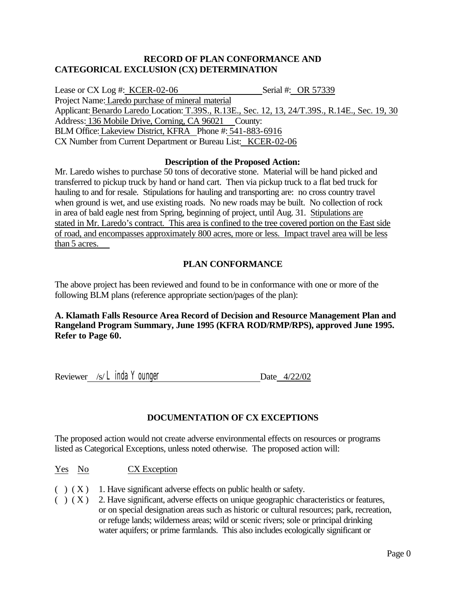## **RECORD OF PLAN CONFORMANCE AND CATEGORICAL EXCLUSION (CX) DETERMINATION**

Lease or CX Log #: KCER-02-06 Serial #: OR 57339 Project Name: Laredo purchase of mineral material Applicant: Benardo Laredo Location: T.39S., R.13E., Sec. 12, 13, 24/T.39S., R.14E., Sec. 19, 30 Address: 136 Mobile Drive, Corning, CA 96021 County: BLM Office: Lakeview District, KFRA Phone #: 541-883-6916 CX Number from Current Department or Bureau List: KCER-02-06

#### **Description of the Proposed Action:**

Mr. Laredo wishes to purchase 50 tons of decorative stone. Material will be hand picked and transferred to pickup truck by hand or hand cart. Then via pickup truck to a flat bed truck for hauling to and for resale. Stipulations for hauling and transporting are: no cross country travel when ground is wet, and use existing roads. No new roads may be built. No collection of rock in area of bald eagle nest from Spring, beginning of project, until Aug. 31. Stipulations are stated in Mr. Laredo's contract. This area is confined to the tree covered portion on the East side of road, and encompasses approximately 800 acres, more or less. Impact travel area will be less than 5 acres.

# **PLAN CONFORMANCE**

The above project has been reviewed and found to be in conformance with one or more of the following BLM plans (reference appropriate section/pages of the plan):

#### **A. Klamath Falls Resource Area Record of Decision and Resource Management Plan and Rangeland Program Summary, June 1995 (KFRA ROD/RMP/RPS), approved June 1995. Refer to Page 60.**

Reviewer /s/ *Linda Younger* Date 4/22/02

# **DOCUMENTATION OF CX EXCEPTIONS**

The proposed action would not create adverse environmental effects on resources or programs listed as Categorical Exceptions, unless noted otherwise. The proposed action will:

#### Yes No CX Exception

- ( ) ( X ) 1. Have significant adverse effects on public health or safety.<br>( ) ( X ) 2. Have significant, adverse effects on unique geographic cha
- 2. Have significant, adverse effects on unique geographic characteristics or features, or on special designation areas such as historic or cultural resources; park, recreation, or refuge lands; wilderness areas; wild or scenic rivers; sole or principal drinking water aquifers; or prime farmlands. This also includes ecologically significant or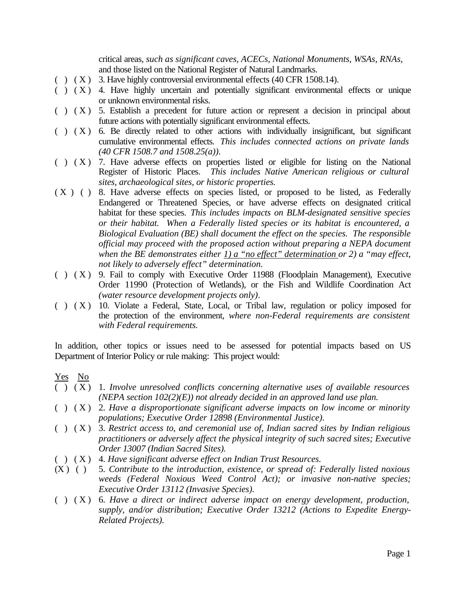critical areas*, such as significant caves, ACECs, National Monuments, WSAs, RNAs,* and those listed on the National Register of Natural Landmarks.

- $(X)$  3. Have highly controversial environmental effects (40 CFR 1508.14).
- ( ) ( X ) 4. Have highly uncertain and potentially significant environmental effects or unique or unknown environmental risks.
- $( )$   $(X)$  5. Establish a precedent for future action or represent a decision in principal about future actions with potentially significant environmental effects.
- $( )$   $( X )$  6. Be directly related to other actions with individually insignificant, but significant cumulative environmental effects. *This includes connected actions on private lands (40 CFR 1508.7 and 1508.25(a)).*
- $( )$   $(X)$  7. Have adverse effects on properties listed or eligible for listing on the National Register of Historic Places. *This includes Native American religious or cultural sites, archaeological sites, or historic properties.*
- ( X ) ( ) 8. Have adverse effects on species listed, or proposed to be listed, as Federally Endangered or Threatened Species, or have adverse effects on designated critical habitat for these species. *This includes impacts on BLM-designated sensitive species or their habitat. When a Federally listed species or its habitat is encountered, a Biological Evaluation (BE) shall document the effect on the species. The responsible official may proceed with the proposed action without preparing a NEPA document when the BE demonstrates either 1) a "no effect" determination or 2) a "may effect, not likely to adversely effect" determination.*
- $( )$   $(X)$  9. Fail to comply with Executive Order 11988 (Floodplain Management), Executive Order 11990 (Protection of Wetlands), or the Fish and Wildlife Coordination Act *(water resource development projects only)*.
- ( ) ( X ) 10. Violate a Federal, State, Local, or Tribal law, regulation or policy imposed for the protection of the environment, *where non-Federal requirements are consistent with Federal requirements.*

In addition, other topics or issues need to be assessed for potential impacts based on US Department of Interior Policy or rule making: This project would:

Yes No

- ( ) ( X ) 1*. Involve unresolved conflicts concerning alternative uses of available resources (NEPA section 102(2)(E)) not already decided in an approved land use plan.*
- ( ) ( X ) 2*. Have a disproportionate significant adverse impacts on low income or minority populations; Executive Order 12898 (Environmental Justice).*
- ( ) ( X ) 3*. Restrict access to, and ceremonial use of, Indian sacred sites by Indian religious practitioners or adversely affect the physical integrity of such sacred sites; Executive Order 13007 (Indian Sacred Sites).*
- ( ) ( X ) 4*. Have significant adverse effect on Indian Trust Resources.*
- (X ) ( ) 5*. Contribute to the introduction, existence, or spread of: Federally listed noxious weeds (Federal Noxious Weed Control Act); or invasive non-native species; Executive Order 13112 (Invasive Species).*
- ( ) ( X ) 6*. Have a direct or indirect adverse impact on energy development, production, supply, and/or distribution; Executive Order 13212 (Actions to Expedite Energy-Related Projects).*